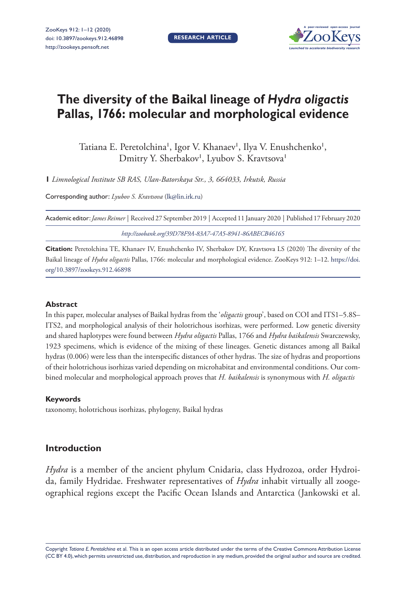**RESEARCH ARTICLE**



# **The diversity of the Baikal lineage of** *Hydra oligactis* **Pallas, 1766: molecular and morphological evidence**

Tatiana E. Peretolchina', Igor V. Khanaev', Ilya V. Enushchenko', Dmitry Y. Sherbakov<sup>1</sup>, Lyubov S. Kravtsova<sup>1</sup>

**1** *Limnological Institute SB RAS, Ulan-Batorskaya Str., 3, 664033, Irkutsk, Russia*

Corresponding author: *Lyubov S. Kravtsova* [\(lk@lin.irk.ru](mailto:lk@lin.irk.ru))

Academic editor:*James Reimer* | Received 27 September 2019 | Accepted 11 January 2020 | Published 17 February 2020

*<http://zoobank.org/39D78F9A-83A7-47A5-8941-86ABECB46165>*

**Citation:** Peretolchina TE, Khanaev IV, Enushchenko IV, Sherbakov DY, Kravtsova LS (2020) The diversity of the Baikal lineage of *Hydra oligactis* Pallas, 1766: molecular and morphological evidence. ZooKeys 912: 1–12. [https://doi.](https://doi.org/10.3897/zookeys.912.46898) [org/10.3897/zookeys.912.46898](https://doi.org/10.3897/zookeys.912.46898)

#### **Abstract**

In this paper, molecular analyses of Baikal hydras from the '*oligactis* group', based on COI and ITS1–5.8S– ITS2, and morphological analysis of their holotrichous isorhizas, were performed. Low genetic diversity and shared haplotypes were found between *Hydra oligactis* Pallas, 1766 and *Hydra baikalensis* Swarczewsky, 1923 specimens, which is evidence of the mixing of these lineages. Genetic distances among all Baikal hydras (0.006) were less than the interspecific distances of other hydras. The size of hydras and proportions of their holotrichous isorhizas varied depending on microhabitat and environmental conditions. Our combined molecular and morphological approach proves that *H. baikalensis* is synonymous with *H. oligactis*

#### **Keywords**

taxonomy, holotrichous isorhizas, phylogeny, Baikal hydras

# **Introduction**

*Hydra* is a member of the ancient phylum Cnidaria, class Hydrozoa, order Hydroida, family Hydridae. Freshwater representatives of *Hydra* inhabit virtually all zoogeographical regions except the Pacific Ocean Islands and Antarctica (Jankowski et al.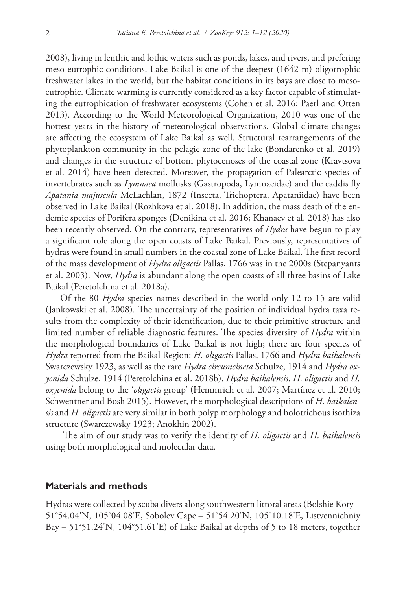2008), living in lenthic and lothic waters such as ponds, lakes, and rivers, and prefering meso-eutrophic conditions. Lake Baikal is one of the deepest (1642 m) oligotrophic freshwater lakes in the world, but the habitat conditions in its bays are close to mesoeutrophic. Climate warming is currently considered as a key factor capable of stimulating the eutrophication of freshwater ecosystems (Cohen et al. 2016; Paerl and Otten 2013). According to the World Meteorological Organization, 2010 was one of the hottest years in the history of meteorological observations. Global climate changes are affecting the ecosystem of Lake Baikal as well. Structural rearrangements of the phytoplankton community in the pelagic zone of the lake (Bondarenko et al. 2019) and changes in the structure of bottom phytocenoses of the coastal zone (Kravtsova et al. 2014) have been detected. Moreover, the propagation of Palearctic species of invertebrates such as *Lymnaea* mollusks (Gastropoda, Lymnaeidae) and the caddis fly *Apatania majuscula* McLachlan, 1872 (Insecta, Trichoptera, Apataniidae) have been observed in Lake Baikal (Rozhkova et al. 2018). In addition, the mass death of the endemic species of Porifera sponges (Denikina et al. 2016; Khanaev et al. 2018) has also been recently observed. On the contrary, representatives of *Hydra* have begun to play a significant role along the open coasts of Lake Baikal. Previously, representatives of hydras were found in small numbers in the coastal zone of Lake Baikal. The first record of the mass development of *Hydra oligactis* Pallas, 1766 was in the 2000s (Stepanyants et al. 2003). Now, *Hydra* is abundant along the open coasts of all three basins of Lake Baikal (Peretolchina et al. 2018a).

Of the 80 *Hydra* species names described in the world only 12 to 15 are valid (Jankowski et al. 2008). The uncertainty of the position of individual hydra taxa results from the complexity of their identification, due to their primitive structure and limited number of reliable diagnostic features. The species diversity of *Hydra* within the morphological boundaries of Lake Baikal is not high; there are four species of *Hydra* reported from the Baikal Region: *H. oligactis* Pallas, 1766 and *Hydra baikalensis*  Swarczewsky 1923, as well as the rare *Hydra circumcincta* Schulze, 1914 and *Hydra oxycnida* Schulze, 1914 (Peretolchina et al. 2018b). *Hydra baikalensis*, *H. oligactis* and *H. oxycnida* belong to the '*oligactis* group' (Hemmrich et al. 2007; Martínez et al. 2010; Schwentner and Bosh 2015). However, the morphological descriptions of *H. baikalensis* and *H. oligactis* are very similar in both polyp morphology and holotrichous isorhiza structure (Swarczewsky 1923; Anokhin 2002).

 The aim of our study was to verify the identity of *H. oligactis* and *H. baikalensis*  using both morphological and molecular data.

## **Materials and methods**

Hydras were collected by scuba divers along southwestern littoral areas (Bolshie Koty – 51°54.04'N, 105°04.08'E, Sobolev Cape – 51°54.20'N, 105°10.18'E, Listvennichniy Bay – 51°51.24'N, 104°51.61'E) of Lake Baikal at depths of 5 to 18 meters, together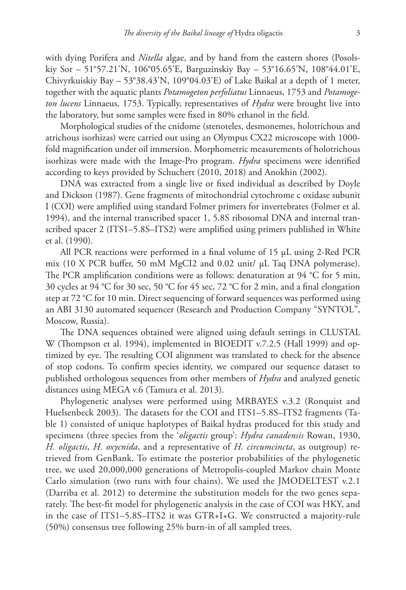with dying Porifera and *Nitella* algae, and by hand from the eastern shores (Posolskiy Sor – 51°57.21'N, 106°05.65'E, Barguzinskiy Bay – 53°16.65'N, 108°44.01'E, Chivyrkuiskiy Bay – 53°38.43'N, 109°04.03'E) of Lake Baikal at a depth of 1 meter, together with the aquatic plants *Potamogeton perfoliatus* Linnaeus, 1753 and *Potamogeton lucens* Linnaeus, 1753. Typically, representatives of *Hydra* were brought live into the laboratory, but some samples were fixed in 80% ethanol in the field.

Morphological studies of the cnidome (stenoteles, desmonemes, holotrichous and atrichous isorhizas) were carried out using an Olympus CX22 microscope with 1000 fold magnification under oil immersion. Morphometric measurements of holotrichous isorhizas were made with the Image-Pro program. *Hydra* specimens were identified according to keys provided by Schuchert (2010, 2018) and Anokhin (2002).

DNA was extracted from a single live or fixed individual as described by Doyle and Dickson (1987). Gene fragments of mitochondrial cytochrome c oxidase subunit I (COI) were amplified using standard Folmer primers for invertebrates (Folmer et al. 1994), and the internal transcribed spacer 1, 5.8S ribosomal DNA and internal transcribed spacer 2 (ITS1–5.8S–ITS2) were amplified using primers published in White et al. (1990).

All PCR reactions were performed in a final volume of 15 μL using 2-Red PCR mix (10 X PCR buffer, 50 mM MgCI2 and 0.02 unit/ μL Taq DNA polymerase). The PCR amplification conditions were as follows: denaturation at 94 °C for 5 min, 30 cycles at 94 °C for 30 sec, 50 °C for 45 sec, 72 °C for 2 min, and a final elongation step at 72 °C for 10 min. Direct sequencing of forward sequences was performed using an ABI 3130 automated sequencer (Research and Production Company "SYNTOL", Moscow, Russia).

The DNA sequences obtained were aligned using default settings in CLUSTAL W (Thompson et al. 1994), implemented in BIOEDIT v.7.2.5 (Hall 1999) and optimized by eye. The resulting COI alignment was translated to check for the absence of stop codons. To confirm species identity, we compared our sequence dataset to published orthologous sequences from other members of *Hydra* and analyzed genetic distances using MEGA v.6 (Tamura et al. 2013).

Phylogenetic analyses were performed using MRBAYES v.3.2 (Ronquist and Huelsenbeck 2003). The datasets for the COI and ITS1–5.8S–ITS2 fragments (Table 1) consisted of unique haplotypes of Baikal hydras produced for this study and specimens (three species from the '*oligactis* group': *Hydra canadensis* Rowan, 1930, *H. oligactis*, *H. oxycnida*, and a representative of *H. circumcincta*, as outgroup) retrieved from GenBank. To estimate the posterior probabilities of the phylogenetic tree, we used 20,000,000 generations of Metropolis-coupled Markov chain Monte Carlo simulation (two runs with four chains). We used the JMODELTEST v.2.1 (Darriba et al. 2012) to determine the substitution models for the two genes separately. The best-fit model for phylogenetic analysis in the case of COI was HKY, and in the case of ITS1–5.8S–ITS2 it was GTR+I+G. We constructed a majority-rule (50%) consensus tree following 25% burn-in of all sampled trees.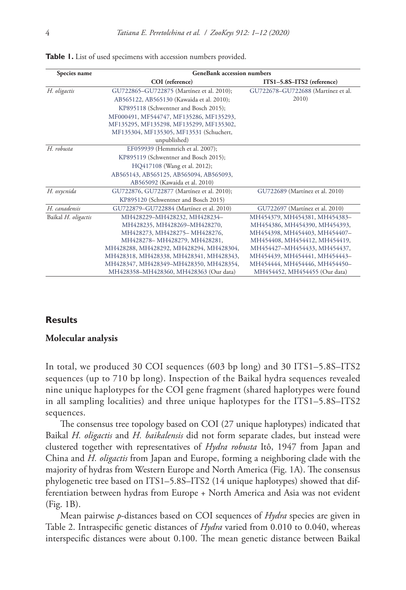| Species name        | <b>GeneBank accession numbers</b>          |                                    |  |  |  |
|---------------------|--------------------------------------------|------------------------------------|--|--|--|
|                     | COI (reference)                            | ITS1-5.8S-ITS2 (reference)         |  |  |  |
| H. oligactis        | GU722865-GU722875 (Martínez et al. 2010);  | GU722678-GU722688 (Martínez et al. |  |  |  |
|                     | AB565122, AB565130 (Kawaida et al. 2010);  | 2010)                              |  |  |  |
|                     | KP895118 (Schwentner and Bosch 2015);      |                                    |  |  |  |
|                     | MF000491, MF544747, MF135286, MF135293,    |                                    |  |  |  |
|                     | MF135295, MF135298, MF135299, MF135302,    |                                    |  |  |  |
|                     | MF135304, MF135305, MF13531 (Schuchert,    |                                    |  |  |  |
|                     | unpublished)                               |                                    |  |  |  |
| H. robusta          | EF059939 (Hemmrich et al. 2007);           |                                    |  |  |  |
|                     | KP895119 (Schwentner and Bosch 2015);      |                                    |  |  |  |
|                     | HQ417108 (Wang et al. 2012);               |                                    |  |  |  |
|                     | AB565143, AB565125, AB565094, AB565093,    |                                    |  |  |  |
|                     | AB565092 (Kawaida et al. 2010)             |                                    |  |  |  |
| H. oxycnida         | GU722876, GU722877 (Martínez et al. 2010); | GU722689 (Martínez et al. 2010)    |  |  |  |
|                     | KP895120 (Schwentner and Bosch 2015)       |                                    |  |  |  |
| H. canadensis       | GU722879-GU722884 (Martínez et al. 2010)   | GU722697 (Martínez et al. 2010)    |  |  |  |
| Baikal H. oligactis | MH428229-MH428232, MH428234-               | MH454379, MH454381, MH454383-      |  |  |  |
|                     | MH428235, MH428269-MH428270,               | MH454386, MH454390, MH454393,      |  |  |  |
|                     | MH428273, MH428275-MH428276,               | MH454398, MH454403, MH454407-      |  |  |  |
|                     | MH428278-MH428279, MH428281,               | MH454408, MH454412, MH454419,      |  |  |  |
|                     | MH428288, MH428292, MH428294, MH428304,    | MH454427-MH454433, MH454437,       |  |  |  |
|                     | MH428318, MH428338, MH428341, MH428343,    | MH454439, MH454441, MH454443-      |  |  |  |
|                     | MH428347, MH428349-MH428350, MH428354,     | MH454444, MH454446, MH454450-      |  |  |  |
|                     | MH428358-MH428360, MH428363 (Our data)     | MH454452, MH454455 (Our data)      |  |  |  |

**Table 1.** List of used specimens with accession numbers provided.

### **Results**

#### **Molecular analysis**

In total, we produced 30 COI sequences (603 bp long) and 30 ITS1–5.8S–ITS2 sequences (up to 710 bp long). Inspection of the Baikal hydra sequences revealed nine unique haplotypes for the COI gene fragment (shared haplotypes were found in all sampling localities) and three unique haplotypes for the ITS1–5.8S–ITS2 sequences.

The consensus tree topology based on COI (27 unique haplotypes) indicated that Baikal *H. oligactis* and *H. baikalensis* did not form separate clades, but instead were clustered together with representatives of *Hydra robusta* Itô, 1947 from Japan and China and *H. oligactis* from Japan and Europe, forming a neighboring clade with the majority of hydras from Western Europe and North America (Fig. 1A). The consensus phylogenetic tree based on ITS1–5.8S–ITS2 (14 unique haplotypes) showed that differentiation between hydras from Europe + North America and Asia was not evident (Fig. 1B).

Mean pairwise *p*-distances based on COI sequences of *Hydra* species are given in Table 2. Intraspecific genetic distances of *Hydra* varied from 0.010 to 0.040, whereas interspecific distances were about 0.100. The mean genetic distance between Baikal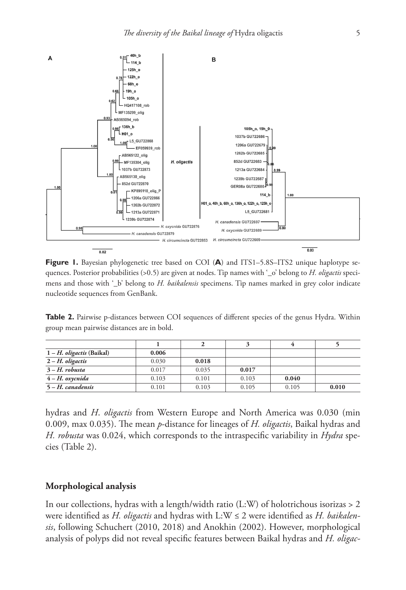

**Figure 1.** Bayesian phylogenetic tree based on COI (A) and ITS1–5.8S–ITS2 unique haplotype sequences. Posterior probabilities (>0.5) are given at nodes. Tip names with '\_o' belong to *H. oligactis* specimens and those with '\_b' belong to *H. baikalensis* specimens. Tip names marked in grey color indicate nucleotide sequences from GenBank.

**Table 2.** Pairwise p-distances between COI sequences of different species of the genus Hydra. Within group mean pairwise distances are in bold.

| $1 - H$ . <i>oligactis</i> (Baikal) | 0.006 |       |       |       |       |
|-------------------------------------|-------|-------|-------|-------|-------|
| $2-H.$ oligactis                    | 0.030 | 0.018 |       |       |       |
| $3-H.$ robusta                      | 0.017 | 0.035 | 0.017 |       |       |
| $4-H.$ oxycnida                     | 0.103 | 0.101 | 0.103 | 0.040 |       |
| $5 - H$ . canadensis                | 0.101 | 0.103 | 0.105 | 0.105 | 0.010 |

hydras and *H*. *oligactis* from Western Europe and North America was 0.030 (min 0.009, max 0.035). The mean *p*-distance for lineages of *H. oligactis*, Baikal hydras and *H. robusta* was 0.024, which corresponds to the intraspecific variability in *Hydra* species (Table 2).

## **Morphological analysis**

In our collections, hydras with a length/width ratio (L:W) of holotrichous isorizas > 2 were identified as *H. oligactis* and hydras with L:W ≤ 2 were identified as *H. baikalensis*, following Schuchert (2010, 2018) and Anokhin (2002). However, morphological analysis of polyps did not reveal specific features between Baikal hydras and *H. oligac-*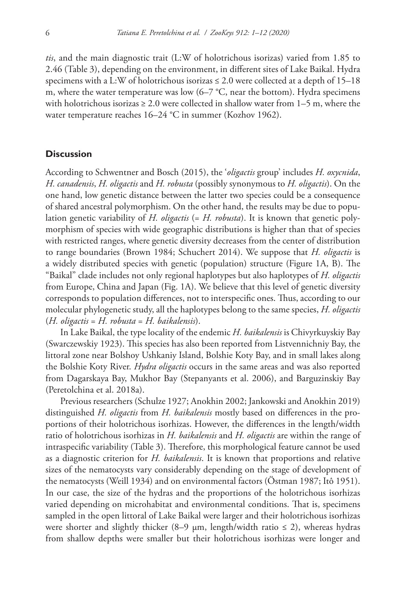*tis*, and the main diagnostic trait (L:W of holotrichous isorizas) varied from 1.85 to 2.46 (Table 3), depending on the environment, in different sites of Lake Baikal. Hydra specimens with a L:W of holotrichous isorizas  $\leq 2.0$  were collected at a depth of 15–18 m, where the water temperature was low  $(6-7 \degree C,$  near the bottom). Hydra specimens with holotrichous isorizas  $\geq 2.0$  were collected in shallow water from 1–5 m, where the water temperature reaches 16–24 °C in summer (Kozhov 1962).

# **Discussion**

According to Schwentner and Bosch (2015), the '*oligactis* group' includes *H. oxycnida*, *H. canadensis*, *H. oligactis* and *H. robusta* (possibly synonymous to *H. oligactis*). On the one hand, low genetic distance between the latter two species could be a consequence of shared ancestral polymorphism. On the other hand, the results may be due to population genetic variability of *H. oligactis* (= *H. robusta*). It is known that genetic polymorphism of species with wide geographic distributions is higher than that of species with restricted ranges, where genetic diversity decreases from the center of distribution to range boundaries (Brown 1984; Schuchert 2014). We suppose that *H. oligactis* is a widely distributed species with genetic (population) structure (Figure 1A, B). The "Baikal" clade includes not only regional haplotypes but also haplotypes of *H. oligactis* from Europe, China and Japan (Fig. 1A). We believe that this level of genetic diversity corresponds to population differences, not to interspecific ones. Thus, according to our molecular phylogenetic study, all the haplotypes belong to the same species, *H. oligactis* (*H. oligactis* = *H. robusta* = *H. baikalensis*).

In Lake Baikal, the type locality of the endemic *H. baikalensis* is Chivyrkuyskiy Bay (Swarczewskiy 1923). This species has also been reported from Listvennichniy Bay, the littoral zone near Bolshoy Ushkaniy Island, Bolshie Koty Bay, and in small lakes along the Bolshie Koty River. *Hydra oligactis* occurs in the same areas and was also reported from Dagarskaya Bay, Mukhor Bay (Stepanyants et al. 2006), and Barguzinskiy Bay (Peretolchina et al. 2018a).

Previous researchers (Schulze 1927; Anokhin 2002; Jankowski and Anokhin 2019) distinguished *H. oligactis* from *H. baikalensis* mostly based on differences in the proportions of their holotrichous isorhizas. However, the differences in the length/width ratio of holotrichous isorhizas in *H. baikalensis* and *H. oligactis* are within the range of intraspecific variability (Table 3). Therefore, this morphological feature cannot be used as a diagnostic criterion for *H. baikalensis*. It is known that proportions and relative sizes of the nematocysts vary considerably depending on the stage of development of the nematocysts (Weill 1934) and on environmental factors (Östman 1987; Itô 1951). In our case, the size of the hydras and the proportions of the holotrichous isorhizas varied depending on microhabitat and environmental conditions. That is, specimens sampled in the open littoral of Lake Baikal were larger and their holotrichous isorhizas were shorter and slightly thicker (8–9  $\mu$ m, length/width ratio  $\leq$  2), whereas hydras from shallow depths were smaller but their holotrichous isorhizas were longer and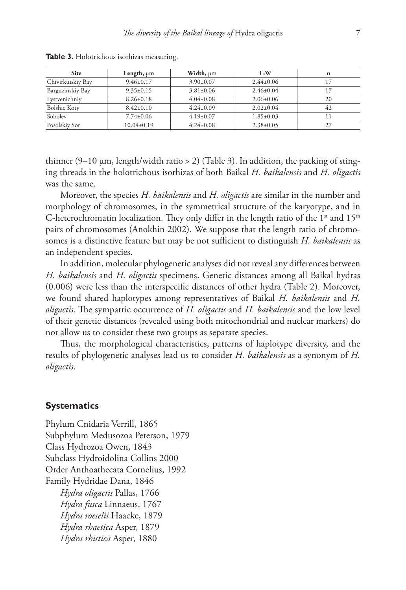| <b>Site</b>       | Length, $\mu$ m  | Width, µm       | L:W             | n  |
|-------------------|------------------|-----------------|-----------------|----|
| Chivirkuiskiy Bay | $9.46 \pm 0.17$  | $3.90 \pm 0.07$ | $2.44+0.06$     |    |
| Barguzinskiy Bay  | $9.35 \pm 0.15$  | $3.81 \pm 0.06$ | $2.46 \pm 0.04$ |    |
| Lystvenichniy     | $8.26 \pm 0.18$  | $4.04+0.08$     | $2.06 \pm 0.06$ | 20 |
| Bolshie Koty      | $8.42 \pm 0.10$  | $4.24 \pm 0.09$ | $2.02+0.04$     | 42 |
| Sobolev           | $7.74 \pm 0.06$  | $4.19 \pm 0.07$ | $1.85 \pm 0.03$ |    |
| Posolskiy Sor     | $10.04 \pm 0.19$ | $4.24 \pm 0.08$ | $2.38 \pm 0.05$ |    |

**Table 3.** Holotrichous isorhizas measuring.

thinner  $(9-10 \mu m, \text{length}/width \cdot ratio > 2)$  (Table 3). In addition, the packing of stinging threads in the holotrichous isorhizas of both Baikal *H. baikalensis* and *H. oligactis*  was the same.

Moreover, the species *H. baikalensis* and *H. oligactis* are similar in the number and morphology of chromosomes, in the symmetrical structure of the karyotype, and in C-heterochromatin localization. They only differ in the length ratio of the  $1<sup>st</sup>$  and  $15<sup>th</sup>$ pairs of chromosomes (Anokhin 2002). We suppose that the length ratio of chromosomes is a distinctive feature but may be not sufficient to distinguish *H. baikalensis* as an independent species.

In addition, molecular phylogenetic analyses did not reveal any differences between *H. baikalensis* and *H. oligactis* specimens. Genetic distances among all Baikal hydras (0.006) were less than the interspecific distances of other hydra (Table 2). Moreover, we found shared haplotypes among representatives of Baikal *H. baikalensis* and *H. oligactis*. The sympatric occurrence of *H. oligactis* and *H. baikalensis* and the low level of their genetic distances (revealed using both mitochondrial and nuclear markers) do not allow us to consider these two groups as separate species.

Thus, the morphological characteristics, patterns of haplotype diversity, and the results of phylogenetic analyses lead us to consider *H. baikalensis* as a synonym of *H. oligactis*.

## **Systematics**

Phylum Cnidaria Verrill, 1865 Subphylum Medusozoa Peterson, 1979 Class Hydrozoa Owen, 1843 Subclass Hydroidolina Collins 2000 Order Anthoathecata Cornelius, 1992 Family Hydridae Dana, 1846 *Hydra oligactis* Pallas, 1766 *Hydra fusca* Linnaeus, 1767 *Hydra roeselii* Haacke, 1879 *Hydra rhaetica* Asper, 1879 *Hydra rhistica* Asper, 1880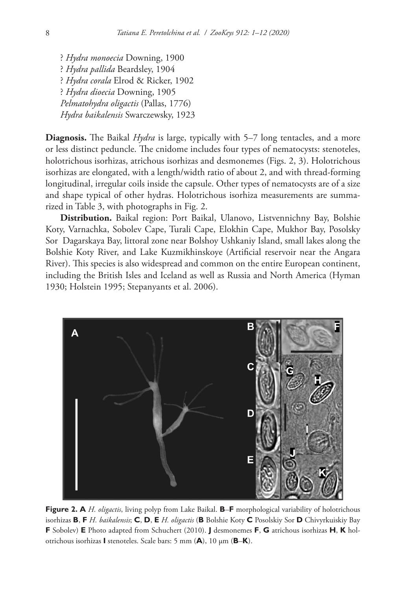? *Hydra monoecia* Downing, 1900 ? *Hydra pallida* Beardsley, 1904 ? *Hydra corala* Elrod & Ricker, 1902 ? *Hydra dioecia* Downing, 1905 *Pelmatohydra oligactis* (Pallas, 1776) *Hydra baikalensis* Swarczewsky, 1923

**Diagnosis.** The Baikal *Hydra* is large, typically with 5–7 long tentacles, and a more or less distinct peduncle. The cnidome includes four types of nematocysts: stenoteles, holotrichous isorhizas, atrichous isorhizas and desmonemes (Figs. 2, 3). Holotrichous isorhizas are elongated, with a length/width ratio of about 2, and with thread-forming longitudinal, irregular coils inside the capsule. Other types of nematocysts are of a size and shape typical of other hydras. Holotrichous isorhiza measurements are summarized in Table 3, with photographs in Fig. 2.

**Distribution.** Baikal region: Port Baikal, Ulanovo, Listvennichny Bay, Bolshie Koty, Varnachka, Sobolev Cape, Turali Cape, Elokhin Cape, Mukhor Bay, Posolsky Sor Dagarskaya Bay, littoral zone near Bolshoy Ushkaniy Island, small lakes along the Bolshie Koty River, and Lake Kuzmikhinskoye (Artificial reservoir near the Angara River). This species is also widespread and common on the entire European continent, including the British Isles and Iceland as well as Russia and North America (Hyman 1930; Holstein 1995; Stepanyants et al. 2006).



**Figure 2. A** *H. oligactis*, living polyp from Lake Baikal. **B**–**F** morphological variability of holotrichous isorhizas **B**, **F** *H. baikalensis*; **C**, **D**, **E** *H. oligactis* (**B** Bolshie Koty **C** Posolskiy Sor **D** Chivyrkuiskiy Bay **F** Sobolev) **E** Photo adapted from Schuchert (2010). **J** desmonemes **F**, **G** atrichous isorhizas **H**, **K** holotrichous isorhizas **I** stenoteles. Scale bars: 5 mm (**A**), 10 μm (**B**–**K**).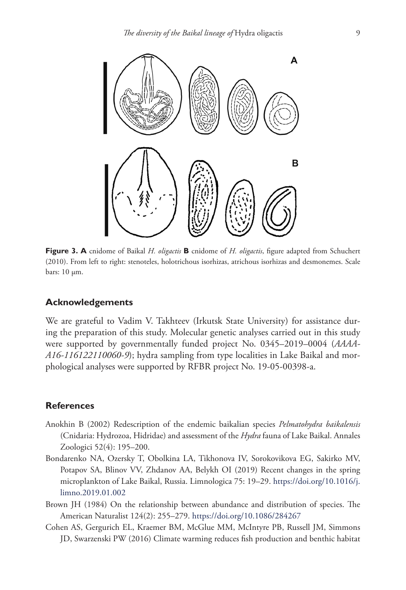

**Figure 3. A** cnidome of Baikal *H. oligactis* **B** cnidome of *H. oligactis*, figure adapted from Schuchert (2010). From left to right: stenoteles, holotrichous isorhizas, atrichous isorhizas and desmonemes. Scale bars: 10 μm.

## **Acknowledgements**

We are grateful to Vadim V. Takhteev (Irkutsk State University) for assistance during the preparation of this study. Molecular genetic analyses carried out in this study were supported by governmentally funded project No. 0345–2019–0004 (*AAAA-A16-116122110060-9*); hydra sampling from type localities in Lake Baikal and morphological analyses were supported by RFBR project No. 19-05-00398-a.

# **References**

- Anokhin B (2002) Redescription of the endemic baikalian species *Pelmatohydra baikalensis* (Cnidaria: Hydrozoa, Hidridae) and assessment of the *Hydra* fauna of Lake Baikal. Annales Zoologici 52(4): 195–200.
- Bondarenko NA, Ozersky T, Obolkina LA, Tikhonova IV, Sorokovikova EG, Sakirko MV, Potapov SA, Blinov VV, Zhdanov AA, Belykh OI (2019) Recent changes in the spring microplankton of Lake Baikal, Russia. Limnologica 75: 19–29. [https://doi.org/10.1016/j.](https://doi.org/10.1016/j.limno.2019.01.002) [limno.2019.01.002](https://doi.org/10.1016/j.limno.2019.01.002)
- Brown JH (1984) On the relationship between abundance and distribution of species. The American Naturalist 124(2): 255–279. <https://doi.org/10.1086/284267>
- Cohen AS, Gergurich EL, Kraemer BM, McGlue MM, McIntyre PB, Russell JM, Simmons JD, Swarzenski PW (2016) Climate warming reduces fish production and benthic habitat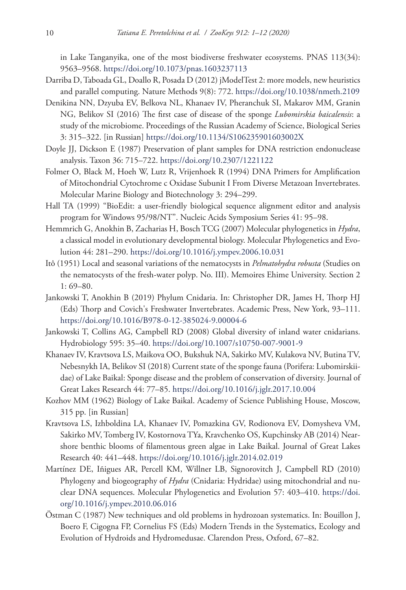in Lake Tanganyika, one of the most biodiverse freshwater ecosystems. PNAS 113(34): 9563–9568.<https://doi.org/10.1073/pnas.1603237113>

- Darriba D, Taboada GL, Doallo R, Posada D (2012) jModelTest 2: more models, new heuristics and parallel computing. Nature Methods 9(8): 772. <https://doi.org/10.1038/nmeth.2109>
- Denikina NN, Dzyuba EV, Belkova NL, Khanaev IV, Pheranchuk SI, Makarov MM, Granin NG, Belikov SI (2016) The first case of disease of the sponge *Lubomirskia baicalensis*: a study of the microbiome. Proceedings of the Russian Academy of Science, Biological Series 3: 315–322. [in Russian]<https://doi.org/10.1134/S106235901603002X>
- Doyle JJ, Dickson E (1987) Preservation of plant samples for DNA restriction endonuclease analysis. Taxon 36: 715–722. <https://doi.org/10.2307/1221122>
- Folmer O, Black M, Hoeh W, Lutz R, Vrijenhoek R (1994) DNA Primers for Amplification of Mitochondrial Cytochrome c Oxidase Subunit I From Diverse Metazoan Invertebrates. Molecular Marine Biology and Biotechnology 3: 294–299.
- Hall TA (1999) "BioEdit: a user-friendly biological sequence alignment editor and analysis program for Windows 95/98/NT". Nucleic Acids Symposium Series 41: 95–98.
- Hemmrich G, Anokhin B, Zacharias H, Bosch TCG (2007) Molecular phylogenetics in *Hydra*, a classical model in evolutionary developmental biology. Molecular Phylogenetics and Evolution 44: 281–290.<https://doi.org/10.1016/j.ympev.2006.10.031>
- Itô (1951) Local and seasonal variations of the nematocysts in *Pelmatohydra robusta* (Studies on the nematocysts of the fresh-water polyp. No. III). Memoires Ehime University. Section 2 1: 69–80.
- Jankowski T, Anokhin B (2019) Phylum Cnidaria. In: Christopher DR, James H, Thorp HJ (Eds) Thorp and Covich's Freshwater Invertebrates. Academic Press, New York, 93–111. <https://doi.org/10.1016/B978-0-12-385024-9.00004-6>
- Jankowski T, Collins AG, Campbell RD (2008) Global diversity of inland water cnidarians. Hydrobiology 595: 35–40. <https://doi.org/10.1007/s10750-007-9001-9>
- Khanaev IV, Kravtsova LS, Maikova OO, Bukshuk NA, Sakirko MV, Kulakova NV, Butina TV, Nebesnykh IA, Belikov SI (2018) Current state of the sponge fauna (Porifera: Lubomirskiidae) of Lake Baikal: Sponge disease and the problem of conservation of diversity. Journal of Great Lakes Research 44: 77–85. <https://doi.org/10.1016/j.jglr.2017.10.004>
- Kozhov MM (1962) Biology of Lake Baikal. Academy of Science Publishing House, Moscow, 315 pp. [in Russian]
- Kravtsova LS, Izhboldina LA, Khanaev IV, Pomazkina GV, Rodionova EV, Domysheva VM, Sakirko MV, Tomberg IV, Kostornova TYa, Kravchenko OS, Kupchinsky AB (2014) Nearshore benthic blooms of filamentous green algae in Lake Baikal. Journal of Great Lakes Research 40: 441–448. <https://doi.org/10.1016/j.jglr.2014.02.019>
- Martínez DE, Iñigues AR, Percell KM, Willner LB, Signorovitch J, Campbell RD (2010) Phylogeny and biogeography of *Hydra* (Cnidaria: Hydridae) using mitochondrial and nuclear DNA sequences. Molecular Phylogenetics and Evolution 57: 403–410. [https://doi.](https://doi.org/10.1016/j.ympev.2010.06.016) [org/10.1016/j.ympev.2010.06.016](https://doi.org/10.1016/j.ympev.2010.06.016)
- Östman C (1987) New techniques and old problems in hydrozoan systematics. In: Bouillon J, Boero F, Cigogna FP, Cornelius FS (Eds) Modern Trends in the Systematics, Ecology and Evolution of Hydroids and Hydromedusae. Clarendon Press, Oxford, 67–82.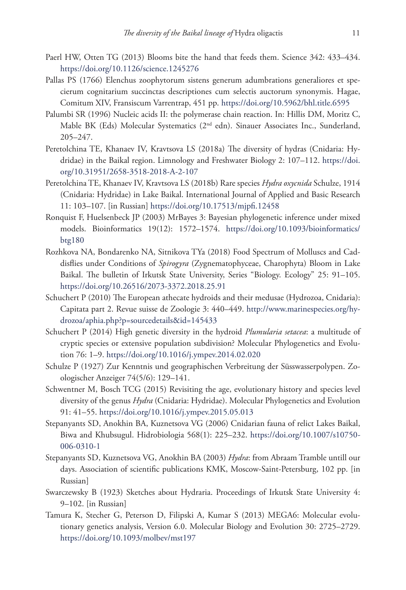- Paerl HW, Otten TG (2013) Blooms bite the hand that feeds them. Science 342: 433–434. <https://doi.org/10.1126/science.1245276>
- Pallas PS (1766) Elenchus zoophytorum sistens generum adumbrations generaliores et specierum cognitarium succinctas descriptiones cum selectis auctorum synonymis. Hagae, Comitum XIV, Fransiscum Varrentrap, 451 pp.<https://doi.org/10.5962/bhl.title.6595>
- Palumbi SR (1996) Nucleic acids II: the polymerase chain reaction. In: Hillis DM, Moritz C, Mable BK (Eds) Molecular Systematics (2nd edn). Sinauer Associates Inc., Sunderland, 205–247.
- Peretolchina TE, Khanaev IV, Kravtsova LS (2018a) The diversity of hydras (Cnidaria: Hydridae) in the Baikal region. Limnology and Freshwater Biology 2: 107–112. [https://doi.](https://doi.org/10.31951/2658-3518-2018-A-2-107) [org/10.31951/2658-3518-2018-A-2-107](https://doi.org/10.31951/2658-3518-2018-A-2-107)
- Peretolchina TE, Khanaev IV, Kravtsova LS (2018b) Rare species *Hydra oxycnida* Schulze, 1914 (Cnidaria: Hydridae) in Lake Baikal. International Journal of Applied and Basic Research 11: 103–107. [in Russian]<https://doi.org/10.17513/mjpfi.12458>
- Ronquist F, Huelsenbeck JP (2003) MrBayes 3: Bayesian phylogenetic inference under mixed models. Bioinformatics 19(12): 1572–1574. [https://doi.org/10.1093/bioinformatics/](https://doi.org/10.1093/bioinformatics/btg180) [btg180](https://doi.org/10.1093/bioinformatics/btg180)
- Rozhkova NA, Bondarenko NA, Sitnikova TYa (2018) Food Spectrum of Molluscs and Caddisflies under Conditions of *Spirogyra* (Zygnematophyceae, Charophyta) Bloom in Lake Baikal. The bulletin of Irkutsk State University, Series "Biology. Ecology" 25: 91–105. <https://doi.org/10.26516/2073-3372.2018.25.91>
- Schuchert P (2010) The European athecate hydroids and their medusae (Hydrozoa, Cnidaria): Capitata part 2. Revue suisse de Zoologie 3: 440–449. [http://www.marinespecies.org/hy](http://www.marinespecies.org/hydrozoa/aphia.php?p=sourcedetails&id=145433)[drozoa/aphia.php?p=sourcedetails&id=145433](http://www.marinespecies.org/hydrozoa/aphia.php?p=sourcedetails&id=145433)
- Schuchert P (2014) High genetic diversity in the hydroid *Plumularia setacea*: a multitude of cryptic species or extensive population subdivision? Molecular Phylogenetics and Evolution 76: 1–9. <https://doi.org/10.1016/j.ympev.2014.02.020>
- Schulze P (1927) Zur Kenntnis und geographischen Verbreitung der Süsswasserpolypen. Zoologischer Anzeiger 74(5/6): 129–141.
- Schwentner M, Bosch TCG (2015) Revisiting the age, evolutionary history and species level diversity of the genus *Hydra* (Cnidaria: Hydridae). Molecular Phylogenetics and Evolution 91: 41–55.<https://doi.org/10.1016/j.ympev.2015.05.013>
- Stepanyants SD, Anokhin BA, Kuznetsova VG (2006) Cnidarian fauna of relict Lakes Baikal, Biwa and Khubsugul. Hidrobiologia 568(1): 225–232. [https://doi.org/10.1007/s10750](https://doi.org/10.1007/s10750-006-0310-1)*-* [006-0310-1](https://doi.org/10.1007/s10750-006-0310-1)
- Stepanyants SD, Kuznetsova VG, Anokhin BA (2003) *Hydra*: from Abraam Tramble untill our days. Association of scientific publications KMK, Moscow-Saint-Petersburg, 102 pp. [in Russian]
- Swarczewsky B (1923) Sketches about Hydraria. Proceedings of Irkutsk State University 4: 9–102. [in Russian]
- Tamura K, Stecher G, Peterson D, Filipski A, Kumar S (2013) MEGA6: Molecular evolutionary genetics analysis, Version 6.0. Molecular Biology and Evolution 30: 2725–2729. <https://doi.org/10.1093/molbev/mst197>